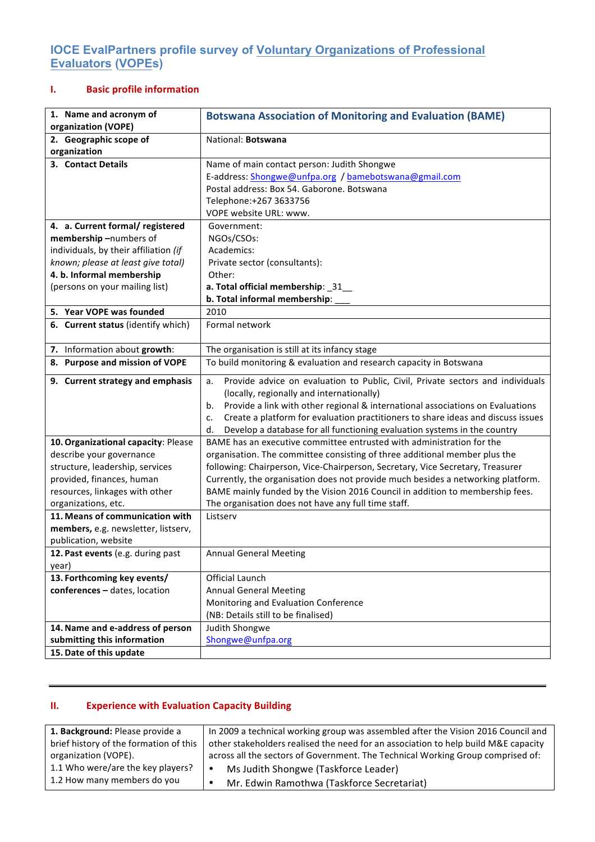## **IOCE EvalPartners profile survey of Voluntary Organizations of Professional Evaluators (VOPEs)**

## **I. Basic profile information**

| 1. Name and acronym of<br>organization (VOPE) | <b>Botswana Association of Monitoring and Evaluation (BAME)</b>                        |
|-----------------------------------------------|----------------------------------------------------------------------------------------|
| 2. Geographic scope of                        | National: Botswana                                                                     |
| organization                                  |                                                                                        |
| 3. Contact Details                            | Name of main contact person: Judith Shongwe                                            |
|                                               | E-address: Shongwe@unfpa.org / bamebotswana@gmail.com                                  |
|                                               | Postal address: Box 54. Gaborone. Botswana                                             |
|                                               | Telephone:+267 3633756                                                                 |
|                                               | VOPE website URL: www.                                                                 |
| 4. a. Current formal/ registered              | Government:                                                                            |
| membership-numbers of                         | NGOs/CSOs:                                                                             |
| individuals, by their affiliation (if         | Academics:                                                                             |
| known; please at least give total)            | Private sector (consultants):                                                          |
| 4. b. Informal membership                     | Other:                                                                                 |
| (persons on your mailing list)                | a. Total official membership: _31_                                                     |
| 5. Year VOPE was founded                      | b. Total informal membership:<br>2010                                                  |
| 6. Current status (identify which)            | Formal network                                                                         |
|                                               |                                                                                        |
| 7. Information about growth:                  | The organisation is still at its infancy stage                                         |
| 8. Purpose and mission of VOPE                | To build monitoring & evaluation and research capacity in Botswana                     |
| 9. Current strategy and emphasis              | Provide advice on evaluation to Public, Civil, Private sectors and individuals<br>a.   |
|                                               | (locally, regionally and internationally)                                              |
|                                               | Provide a link with other regional & international associations on Evaluations<br>b.   |
|                                               | Create a platform for evaluation practitioners to share ideas and discuss issues<br>c. |
|                                               | Develop a database for all functioning evaluation systems in the country<br>d.         |
| 10. Organizational capacity: Please           | BAME has an executive committee entrusted with administration for the                  |
| describe your governance                      | organisation. The committee consisting of three additional member plus the             |
| structure, leadership, services               | following: Chairperson, Vice-Chairperson, Secretary, Vice Secretary, Treasurer         |
| provided, finances, human                     | Currently, the organisation does not provide much besides a networking platform.       |
| resources, linkages with other                | BAME mainly funded by the Vision 2016 Council in addition to membership fees.          |
| organizations, etc.                           | The organisation does not have any full time staff.                                    |
| 11. Means of communication with               | Listserv                                                                               |
| members, e.g. newsletter, listserv,           |                                                                                        |
| publication, website                          |                                                                                        |
| 12. Past events (e.g. during past<br>year)    | <b>Annual General Meeting</b>                                                          |
| 13. Forthcoming key events/                   | <b>Official Launch</b>                                                                 |
| conferences - dates, location                 | <b>Annual General Meeting</b>                                                          |
|                                               | Monitoring and Evaluation Conference                                                   |
|                                               | (NB: Details still to be finalised)                                                    |
| 14. Name and e-address of person              | Judith Shongwe                                                                         |
| submitting this information                   | Shongwe@unfpa.org                                                                      |
| 15. Date of this update                       |                                                                                        |

## **II. Experience with Evaluation Capacity Building**

| 1. Background: Please provide a        | In 2009 a technical working group was assembled after the Vision 2016 Council and  |
|----------------------------------------|------------------------------------------------------------------------------------|
| brief history of the formation of this | other stakeholders realised the need for an association to help build M&E capacity |
| organization (VOPE).                   | across all the sectors of Government. The Technical Working Group comprised of:    |
| 1.1 Who were/are the key players?      | Ms Judith Shongwe (Taskforce Leader)                                               |
| 1.2 How many members do you            | Mr. Edwin Ramothwa (Taskforce Secretariat)                                         |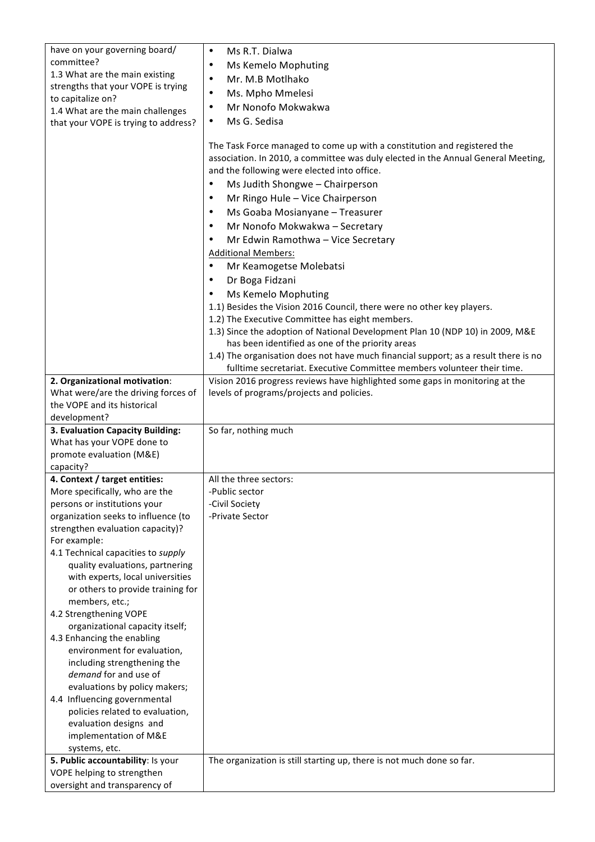| have on your governing board/                                         | Ms R.T. Dialwa<br>$\bullet$                                                                                                                                                                                                                                                                                                                                                                                                                                                                                                                                                                                                                                                         |
|-----------------------------------------------------------------------|-------------------------------------------------------------------------------------------------------------------------------------------------------------------------------------------------------------------------------------------------------------------------------------------------------------------------------------------------------------------------------------------------------------------------------------------------------------------------------------------------------------------------------------------------------------------------------------------------------------------------------------------------------------------------------------|
| committee?                                                            | Ms Kemelo Mophuting<br>$\bullet$                                                                                                                                                                                                                                                                                                                                                                                                                                                                                                                                                                                                                                                    |
| 1.3 What are the main existing                                        | Mr. M.B Motlhako<br>$\bullet$                                                                                                                                                                                                                                                                                                                                                                                                                                                                                                                                                                                                                                                       |
| strengths that your VOPE is trying                                    |                                                                                                                                                                                                                                                                                                                                                                                                                                                                                                                                                                                                                                                                                     |
| to capitalize on?                                                     | Ms. Mpho Mmelesi<br>$\bullet$                                                                                                                                                                                                                                                                                                                                                                                                                                                                                                                                                                                                                                                       |
| 1.4 What are the main challenges                                      | Mr Nonofo Mokwakwa<br>$\bullet$                                                                                                                                                                                                                                                                                                                                                                                                                                                                                                                                                                                                                                                     |
| that your VOPE is trying to address?                                  | Ms G. Sedisa<br>$\bullet$                                                                                                                                                                                                                                                                                                                                                                                                                                                                                                                                                                                                                                                           |
|                                                                       | The Task Force managed to come up with a constitution and registered the<br>association. In 2010, a committee was duly elected in the Annual General Meeting,<br>and the following were elected into office.<br>Ms Judith Shongwe - Chairperson<br>$\bullet$<br>Mr Ringo Hule - Vice Chairperson<br>$\bullet$<br>Ms Goaba Mosianyane - Treasurer<br>$\bullet$<br>Mr Nonofo Mokwakwa - Secretary<br>$\bullet$<br>Mr Edwin Ramothwa - Vice Secretary<br>$\bullet$<br><b>Additional Members:</b><br>Mr Keamogetse Molebatsi<br>$\bullet$<br>Dr Boga Fidzani<br>$\bullet$<br>Ms Kemelo Mophuting<br>$\bullet$<br>1.1) Besides the Vision 2016 Council, there were no other key players. |
|                                                                       | 1.2) The Executive Committee has eight members.                                                                                                                                                                                                                                                                                                                                                                                                                                                                                                                                                                                                                                     |
|                                                                       | 1.3) Since the adoption of National Development Plan 10 (NDP 10) in 2009, M&E                                                                                                                                                                                                                                                                                                                                                                                                                                                                                                                                                                                                       |
|                                                                       | has been identified as one of the priority areas                                                                                                                                                                                                                                                                                                                                                                                                                                                                                                                                                                                                                                    |
|                                                                       | 1.4) The organisation does not have much financial support; as a result there is no                                                                                                                                                                                                                                                                                                                                                                                                                                                                                                                                                                                                 |
|                                                                       | fulltime secretariat. Executive Committee members volunteer their time.                                                                                                                                                                                                                                                                                                                                                                                                                                                                                                                                                                                                             |
| 2. Organizational motivation:<br>What were/are the driving forces of  | Vision 2016 progress reviews have highlighted some gaps in monitoring at the<br>levels of programs/projects and policies.                                                                                                                                                                                                                                                                                                                                                                                                                                                                                                                                                           |
| the VOPE and its historical                                           |                                                                                                                                                                                                                                                                                                                                                                                                                                                                                                                                                                                                                                                                                     |
| development?                                                          |                                                                                                                                                                                                                                                                                                                                                                                                                                                                                                                                                                                                                                                                                     |
| 3. Evaluation Capacity Building:                                      | So far, nothing much                                                                                                                                                                                                                                                                                                                                                                                                                                                                                                                                                                                                                                                                |
| What has your VOPE done to                                            |                                                                                                                                                                                                                                                                                                                                                                                                                                                                                                                                                                                                                                                                                     |
| promote evaluation (M&E)                                              |                                                                                                                                                                                                                                                                                                                                                                                                                                                                                                                                                                                                                                                                                     |
| capacity?                                                             |                                                                                                                                                                                                                                                                                                                                                                                                                                                                                                                                                                                                                                                                                     |
| 4. Context / target entities:                                         | All the three sectors:                                                                                                                                                                                                                                                                                                                                                                                                                                                                                                                                                                                                                                                              |
| More specifically, who are the                                        | -Public sector                                                                                                                                                                                                                                                                                                                                                                                                                                                                                                                                                                                                                                                                      |
| persons or institutions your                                          | -Civil Society                                                                                                                                                                                                                                                                                                                                                                                                                                                                                                                                                                                                                                                                      |
| organization seeks to influence (to                                   | -Private Sector                                                                                                                                                                                                                                                                                                                                                                                                                                                                                                                                                                                                                                                                     |
| strengthen evaluation capacity)?                                      |                                                                                                                                                                                                                                                                                                                                                                                                                                                                                                                                                                                                                                                                                     |
| For example:                                                          |                                                                                                                                                                                                                                                                                                                                                                                                                                                                                                                                                                                                                                                                                     |
| 4.1 Technical capacities to supply<br>quality evaluations, partnering |                                                                                                                                                                                                                                                                                                                                                                                                                                                                                                                                                                                                                                                                                     |
| with experts, local universities                                      |                                                                                                                                                                                                                                                                                                                                                                                                                                                                                                                                                                                                                                                                                     |
| or others to provide training for                                     |                                                                                                                                                                                                                                                                                                                                                                                                                                                                                                                                                                                                                                                                                     |
| members, etc.;                                                        |                                                                                                                                                                                                                                                                                                                                                                                                                                                                                                                                                                                                                                                                                     |
| 4.2 Strengthening VOPE                                                |                                                                                                                                                                                                                                                                                                                                                                                                                                                                                                                                                                                                                                                                                     |
| organizational capacity itself;                                       |                                                                                                                                                                                                                                                                                                                                                                                                                                                                                                                                                                                                                                                                                     |
| 4.3 Enhancing the enabling                                            |                                                                                                                                                                                                                                                                                                                                                                                                                                                                                                                                                                                                                                                                                     |
| environment for evaluation,                                           |                                                                                                                                                                                                                                                                                                                                                                                                                                                                                                                                                                                                                                                                                     |
| including strengthening the                                           |                                                                                                                                                                                                                                                                                                                                                                                                                                                                                                                                                                                                                                                                                     |
| demand for and use of                                                 |                                                                                                                                                                                                                                                                                                                                                                                                                                                                                                                                                                                                                                                                                     |
| evaluations by policy makers;                                         |                                                                                                                                                                                                                                                                                                                                                                                                                                                                                                                                                                                                                                                                                     |
| 4.4 Influencing governmental                                          |                                                                                                                                                                                                                                                                                                                                                                                                                                                                                                                                                                                                                                                                                     |
| policies related to evaluation,                                       |                                                                                                                                                                                                                                                                                                                                                                                                                                                                                                                                                                                                                                                                                     |
| evaluation designs and                                                |                                                                                                                                                                                                                                                                                                                                                                                                                                                                                                                                                                                                                                                                                     |
| implementation of M&E                                                 |                                                                                                                                                                                                                                                                                                                                                                                                                                                                                                                                                                                                                                                                                     |
| systems, etc.                                                         |                                                                                                                                                                                                                                                                                                                                                                                                                                                                                                                                                                                                                                                                                     |
| 5. Public accountability: Is your                                     | The organization is still starting up, there is not much done so far.                                                                                                                                                                                                                                                                                                                                                                                                                                                                                                                                                                                                               |
| VOPE helping to strengthen                                            |                                                                                                                                                                                                                                                                                                                                                                                                                                                                                                                                                                                                                                                                                     |
| oversight and transparency of                                         |                                                                                                                                                                                                                                                                                                                                                                                                                                                                                                                                                                                                                                                                                     |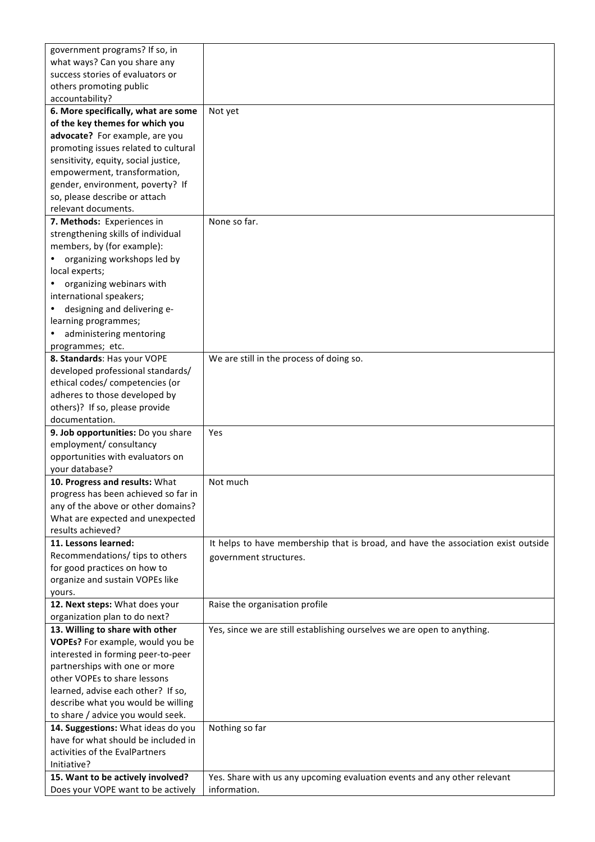| government programs? If so, in       |                                                                                   |
|--------------------------------------|-----------------------------------------------------------------------------------|
| what ways? Can you share any         |                                                                                   |
| success stories of evaluators or     |                                                                                   |
| others promoting public              |                                                                                   |
| accountability?                      |                                                                                   |
| 6. More specifically, what are some  | Not yet                                                                           |
| of the key themes for which you      |                                                                                   |
| advocate? For example, are you       |                                                                                   |
| promoting issues related to cultural |                                                                                   |
| sensitivity, equity, social justice, |                                                                                   |
| empowerment, transformation,         |                                                                                   |
| gender, environment, poverty? If     |                                                                                   |
| so, please describe or attach        |                                                                                   |
| relevant documents.                  |                                                                                   |
| 7. Methods: Experiences in           | None so far.                                                                      |
| strengthening skills of individual   |                                                                                   |
| members, by (for example):           |                                                                                   |
| organizing workshops led by          |                                                                                   |
| local experts;                       |                                                                                   |
| organizing webinars with             |                                                                                   |
| international speakers;              |                                                                                   |
| designing and delivering e-          |                                                                                   |
| learning programmes;                 |                                                                                   |
| administering mentoring              |                                                                                   |
| programmes; etc.                     |                                                                                   |
| 8. Standards: Has your VOPE          | We are still in the process of doing so.                                          |
| developed professional standards/    |                                                                                   |
| ethical codes/ competencies (or      |                                                                                   |
| adheres to those developed by        |                                                                                   |
| others)? If so, please provide       |                                                                                   |
| documentation.                       |                                                                                   |
| 9. Job opportunities: Do you share   | Yes                                                                               |
| employment/ consultancy              |                                                                                   |
| opportunities with evaluators on     |                                                                                   |
| your database?                       |                                                                                   |
| 10. Progress and results: What       | Not much                                                                          |
| progress has been achieved so far in |                                                                                   |
| any of the above or other domains?   |                                                                                   |
| What are expected and unexpected     |                                                                                   |
| results achieved?                    |                                                                                   |
| 11. Lessons learned:                 | It helps to have membership that is broad, and have the association exist outside |
| Recommendations/ tips to others      |                                                                                   |
| for good practices on how to         | government structures.                                                            |
| organize and sustain VOPEs like      |                                                                                   |
| yours.                               |                                                                                   |
| 12. Next steps: What does your       | Raise the organisation profile                                                    |
| organization plan to do next?        |                                                                                   |
| 13. Willing to share with other      | Yes, since we are still establishing ourselves we are open to anything.           |
| VOPEs? For example, would you be     |                                                                                   |
| interested in forming peer-to-peer   |                                                                                   |
| partnerships with one or more        |                                                                                   |
| other VOPEs to share lessons         |                                                                                   |
| learned, advise each other? If so,   |                                                                                   |
| describe what you would be willing   |                                                                                   |
| to share / advice you would seek.    |                                                                                   |
| 14. Suggestions: What ideas do you   | Nothing so far                                                                    |
| have for what should be included in  |                                                                                   |
| activities of the EvalPartners       |                                                                                   |
| Initiative?                          |                                                                                   |
| 15. Want to be actively involved?    | Yes. Share with us any upcoming evaluation events and any other relevant          |
| Does your VOPE want to be actively   | information.                                                                      |
|                                      |                                                                                   |